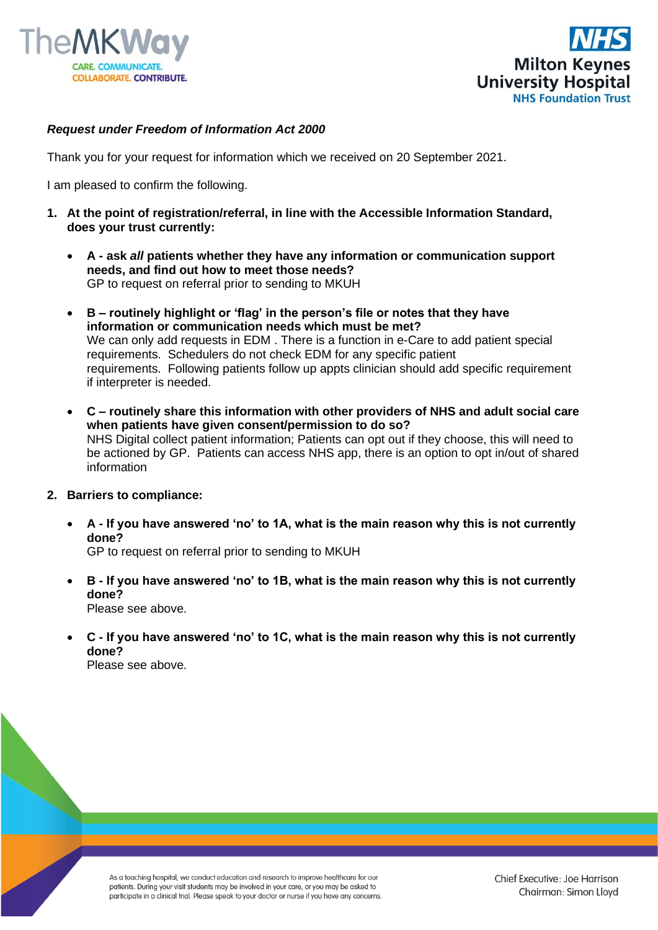



## *Request under Freedom of Information Act 2000*

Thank you for your request for information which we received on 20 September 2021.

I am pleased to confirm the following.

- **1. At the point of registration/referral, in line with the Accessible Information Standard, does your trust currently:**
	- **A - ask** *all* **patients whether they have any information or communication support needs, and find out how to meet those needs?**  GP to request on referral prior to sending to MKUH
	- **B – routinely highlight or 'flag' in the person's file or notes that they have information or communication needs which must be met?**  We can only add requests in EDM . There is a function in e-Care to add patient special requirements. Schedulers do not check EDM for any specific patient requirements. Following patients follow up appts clinician should add specific requirement if interpreter is needed.
	- **C – routinely share this information with other providers of NHS and adult social care when patients have given consent/permission to do so?**  NHS Digital collect patient information; Patients can opt out if they choose, this will need to be actioned by GP. Patients can access NHS app, there is an option to opt in/out of shared information

## **2. Barriers to compliance:**

• **A - If you have answered 'no' to 1A, what is the main reason why this is not currently done?**

GP to request on referral prior to sending to MKUH

- **B - If you have answered 'no' to 1B, what is the main reason why this is not currently done?**  Please see above.
- **C - If you have answered 'no' to 1C, what is the main reason why this is not currently done?**

Please see above.

As a teaching hospital, we conduct education and research to improve healthcare for our patients. During your visit students may be involved in your care, or you may be asked to participate in a clinical trial. Please speak to your doctor or nurse if you have any concerns.